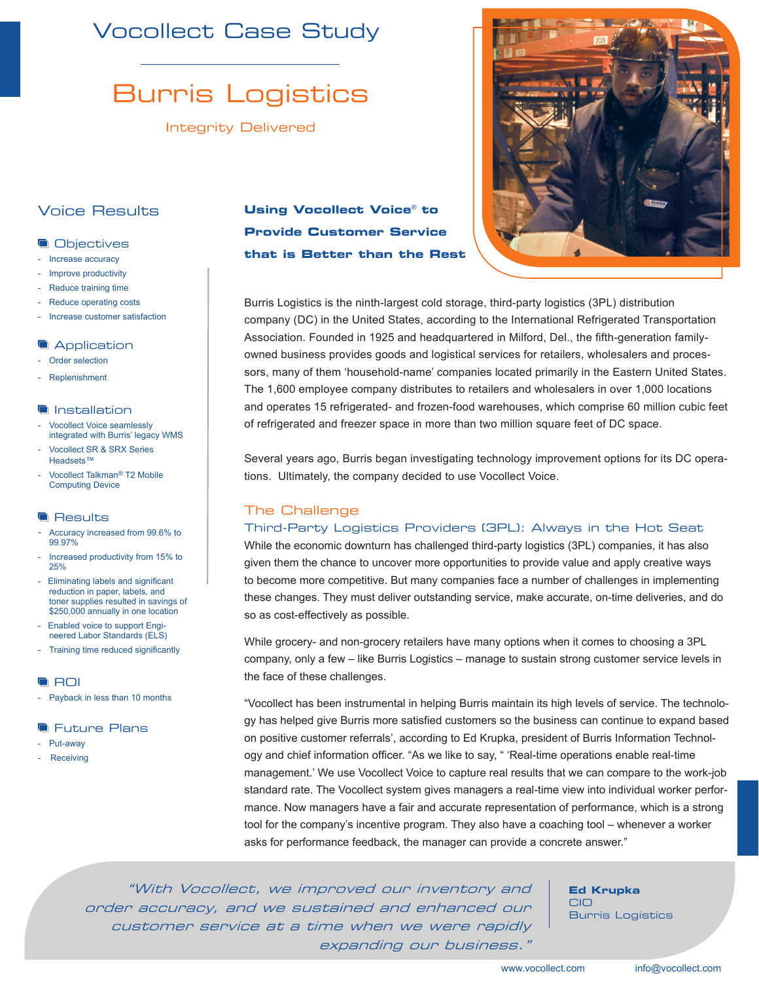# Vocollect Case Study

# Burris Logistics

Integrity Delivered

## Voice Results

#### **Objectives**

- Increase accuracy
- Improve productivity
- Reduce training time
- Reduce operating costs
- Increase customer satisfaction

#### **Application**

- Order selection
- Replenishment

#### **Installation**

- Vocollect Voice seamlessly integrated with Burris' legacy WMS Vocollect SR & SRX Series
- Headsets™
- Vocollect Talkman<sup>®</sup> T2 Mobile Computing Device

#### **Results**

- Accuracy increased from 99.6% to 99.97%
- Increased productivity from 15% to 25%
- Eliminating labels and significant reduction in paper, labels, and toner supplies resulted in savings of \$250,000 annually in one location
- Enabled voice to support Engineered Labor Standards (ELS)
- Training time reduced significantly

#### **ROI**

- Payback in less than 10 months

#### **The Future Plans**

- Put-away
- Receiving

## **Using Vocollect Voice***®* **to Provide Customer Service that is Better than the Rest**



Burris Logistics is the ninth-largest cold storage, third-party logistics (3PL) distribution company (DC) in the United States, according to the International Refrigerated Transportation Association. Founded in 1925 and headquartered in Milford, Del., the fifth-generation familyowned business provides goods and logistical services for retailers, wholesalers and processors, many of them 'household-name' companies located primarily in the Eastern United States. The 1,600 employee company distributes to retailers and wholesalers in over 1,000 locations and operates 15 refrigerated- and frozen-food warehouses, which comprise 60 million cubic feet of refrigerated and freezer space in more than two million square feet of DC space.

Several years ago, Burris began investigating technology improvement options for its DC operations. Ultimately, the company decided to use Vocollect Voice.

### The Challenge

#### Third-Party Logistics Providers (3PL): Always in the Hot Seat

While the economic downturn has challenged third-party logistics (3PL) companies, it has also given them the chance to uncover more opportunities to provide value and apply creative ways to become more competitive. But many companies face a number of challenges in implementing these changes. They must deliver outstanding service, make accurate, on-time deliveries, and do so as cost-effectively as possible.

While grocery- and non-grocery retailers have many options when it comes to choosing a 3PL company, only a few – like Burris Logistics – manage to sustain strong customer service levels in the face of these challenges.

"Vocollect has been instrumental in helping Burris maintain its high levels of service. The technology has helped give Burris more satisfied customers so the business can continue to expand based on positive customer referrals', according to Ed Krupka, president of Burris Information Technology and chief information officer. "As we like to say, " 'Real-time operations enable real-time management.' We use Vocollect Voice to capture real results that we can compare to the work-job standard rate. The Vocollect system gives managers a real-time view into individual worker performance. Now managers have a fair and accurate representation of performance, which is a strong tool for the company's incentive program. They also have a coaching tool – whenever a worker asks for performance feedback, the manager can provide a concrete answer."

"With Vocollect, we improved our inventory and order accuracy, and we sustained and enhanced our customer service at a time when we were rapidly expanding our business."

**Ed Krupka** CIO Burris Logistics